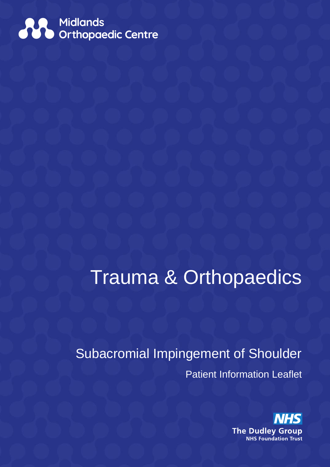

# Trauma & Orthopaedics

# Subacromial Impingement of Shoulder Patient Information Leaflet

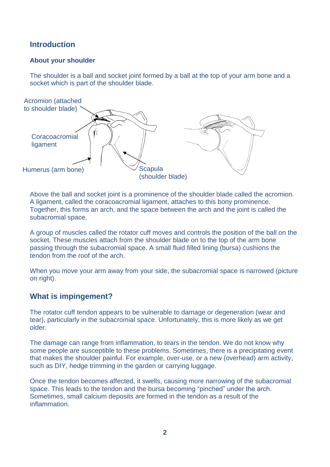# **Introduction**

#### **About your shoulder**

The shoulder is a ball and socket joint formed by a ball at the top of your arm bone and a socket which is part of the shoulder blade.



Above the ball and socket joint is a prominence of the shoulder blade called the acromion. A ligament, called the coracoacromial ligament, attaches to this bony prominence. Together, this forms an arch, and the space between the arch and the joint is called the subacromial space.

A group of muscles called the rotator cuff moves and controls the position of the ball on the socket. These muscles attach from the shoulder blade on to the top of the arm bone passing through the subacromial space. A small fluid filled lining (bursa) cushions the tendon from the roof of the arch.

When you move your arm away from your side, the subacromial space is narrowed (picture on right).

# **What is impingement?**

The rotator cuff tendon appears to be vulnerable to damage or degeneration (wear and tear), particularly in the subacromial space. Unfortunately, this is more likely as we get older.

The damage can range from inflammation, to tears in the tendon. We do not know why some people are susceptible to these problems. Sometimes, there is a precipitating event that makes the shoulder painful. For example, over-use, or a new (overhead) arm activity, such as DIY, hedge trimming in the garden or carrying luggage.

Once the tendon becomes affected, it swells, causing more narrowing of the subacromial space. This leads to the tendon and the bursa becoming "pinched" under the arch. Sometimes, small calcium deposits are formed in the tendon as a result of the inflammation.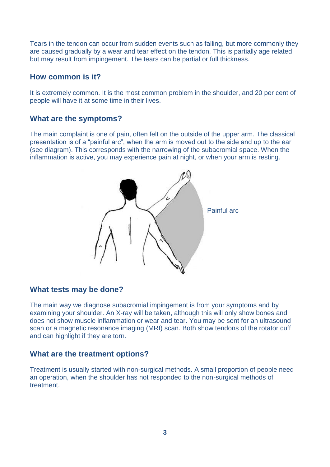Tears in the tendon can occur from sudden events such as falling, but more commonly they are caused gradually by a wear and tear effect on the tendon. This is partially age related but may result from impingement. The tears can be partial or full thickness.

#### **How common is it?**

It is extremely common. It is the most common problem in the shoulder, and 20 per cent of people will have it at some time in their lives.

#### **What are the symptoms?**

The main complaint is one of pain, often felt on the outside of the upper arm. The classical presentation is of a "painful arc", when the arm is moved out to the side and up to the ear (see diagram). This corresponds with the narrowing of the subacromial space. When the inflammation is active, you may experience pain at night, or when your arm is resting.



#### **What tests may be done?**

The main way we diagnose subacromial impingement is from your symptoms and by examining your shoulder. An X-ray will be taken, although this will only show bones and does not show muscle inflammation or wear and tear. You may be sent for an ultrasound scan or a magnetic resonance imaging (MRI) scan. Both show tendons of the rotator cuff and can highlight if they are torn.

#### **What are the treatment options?**

Treatment is usually started with non-surgical methods. A small proportion of people need an operation, when the shoulder has not responded to the non-surgical methods of treatment.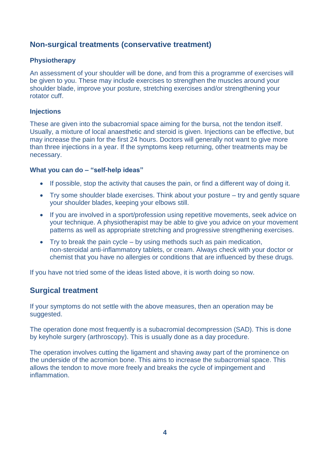# **Non-surgical treatments (conservative treatment)**

#### **Physiotherapy**

An assessment of your shoulder will be done, and from this a programme of exercises will be given to you. These may include exercises to strengthen the muscles around your shoulder blade, improve your posture, stretching exercises and/or strengthening your rotator cuff.

#### **Injections**

These are given into the subacromial space aiming for the bursa, not the tendon itself. Usually, a mixture of local anaesthetic and steroid is given. Injections can be effective, but may increase the pain for the first 24 hours. Doctors will generally not want to give more than three injections in a year. If the symptoms keep returning, other treatments may be necessary.

#### **What you can do – "self-help ideas"**

- If possible, stop the activity that causes the pain, or find a different way of doing it.
- Try some shoulder blade exercises. Think about your posture try and gently square your shoulder blades, keeping your elbows still.
- If you are involved in a sport/profession using repetitive movements, seek advice on your technique. A physiotherapist may be able to give you advice on your movement patterns as well as appropriate stretching and progressive strengthening exercises.
- $\bullet$  Try to break the pain cycle by using methods such as pain medication, non-steroidal anti-inflammatory tablets, or cream. Always check with your doctor or chemist that you have no allergies or conditions that are influenced by these drugs.

If you have not tried some of the ideas listed above, it is worth doing so now.

# **Surgical treatment**

If your symptoms do not settle with the above measures, then an operation may be suggested.

The operation done most frequently is a subacromial decompression (SAD). This is done by keyhole surgery (arthroscopy). This is usually done as a day procedure.

The operation involves cutting the ligament and shaving away part of the prominence on the underside of the acromion bone. This aims to increase the subacromial space. This allows the tendon to move more freely and breaks the cycle of impingement and inflammation.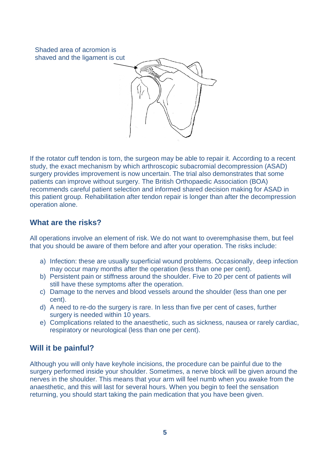Shaded area of acromion is shaved and the ligament is cut



If the rotator cuff tendon is torn, the surgeon may be able to repair it. According to a recent study, the exact mechanism by which arthroscopic subacromial decompression (ASAD) surgery provides improvement is now uncertain. The trial also demonstrates that some patients can improve without surgery. The British Orthopaedic Association (BOA) recommends careful patient selection and informed shared decision making for ASAD in this patient group. Rehabilitation after tendon repair is longer than after the decompression operation alone.

# **What are the risks?**

All operations involve an element of risk. We do not want to overemphasise them, but feel that you should be aware of them before and after your operation. The risks include:

- a) Infection: these are usually superficial wound problems. Occasionally, deep infection may occur many months after the operation (less than one per cent).
- b) Persistent pain or stiffness around the shoulder. Five to 20 per cent of patients will still have these symptoms after the operation.
- c) Damage to the nerves and blood vessels around the shoulder (less than one per cent).
- d) A need to re-do the surgery is rare. In less than five per cent of cases, further surgery is needed within 10 years.
- e) Complications related to the anaesthetic, such as sickness, nausea or rarely cardiac, respiratory or neurological (less than one per cent).

# **Will it be painful?**

Although you will only have keyhole incisions, the procedure can be painful due to the surgery performed inside your shoulder. Sometimes, a nerve block will be given around the nerves in the shoulder. This means that your arm will feel numb when you awake from the anaesthetic, and this will last for several hours. When you begin to feel the sensation returning, you should start taking the pain medication that you have been given.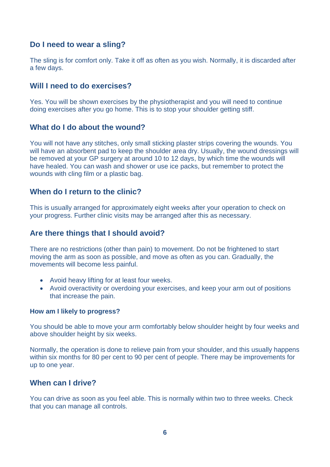# **Do I need to wear a sling?**

The sling is for comfort only. Take it off as often as you wish. Normally, it is discarded after a few days.

# **Will I need to do exercises?**

Yes. You will be shown exercises by the physiotherapist and you will need to continue doing exercises after you go home. This is to stop your shoulder getting stiff.

#### **What do I do about the wound?**

You will not have any stitches, only small sticking plaster strips covering the wounds. You will have an absorbent pad to keep the shoulder area dry. Usually, the wound dressings will be removed at your GP surgery at around 10 to 12 days, by which time the wounds will have healed. You can wash and shower or use ice packs, but remember to protect the wounds with cling film or a plastic bag.

# **When do I return to the clinic?**

This is usually arranged for approximately eight weeks after your operation to check on your progress. Further clinic visits may be arranged after this as necessary.

#### **Are there things that I should avoid?**

There are no restrictions (other than pain) to movement. Do not be frightened to start moving the arm as soon as possible, and move as often as you can. Gradually, the movements will become less painful.

- Avoid heavy lifting for at least four weeks.
- Avoid overactivity or overdoing your exercises, and keep your arm out of positions that increase the pain.

#### **How am I likely to progress?**

You should be able to move your arm comfortably below shoulder height by four weeks and above shoulder height by six weeks.

Normally, the operation is done to relieve pain from your shoulder, and this usually happens within six months for 80 per cent to 90 per cent of people. There may be improvements for up to one year.

#### **When can I drive?**

You can drive as soon as you feel able. This is normally within two to three weeks. Check that you can manage all controls.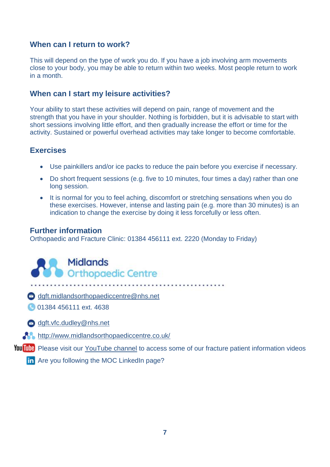#### **When can I return to work?**

This will depend on the type of work you do. If you have a job involving arm movements close to your body, you may be able to return within two weeks. Most people return to work in a month.

#### **When can I start my leisure activities?**

Your ability to start these activities will depend on pain, range of movement and the strength that you have in your shoulder. Nothing is forbidden, but it is advisable to start with short sessions involving little effort, and then gradually increase the effort or time for the activity. Sustained or powerful overhead activities may take longer to become comfortable.

# **Exercises**

- Use painkillers and/or ice packs to reduce the pain before you exercise if necessary.
- Do short frequent sessions (e.g. five to 10 minutes, four times a day) rather than one long session.
- It is normal for you to feel aching, discomfort or stretching sensations when you do these exercises. However, intense and lasting pain (e.g. more than 30 minutes) is an indication to change the exercise by doing it less forcefully or less often.

# **Further information**

Orthopaedic and Fracture Clinic: 01384 456111 ext. 2220 (Monday to Friday)

**Midlands Orthopaedic Centre** 

[dgft.midlandsorthopaediccentre@nhs.net](mailto:dgft.midlandsorthopaediccentre@nhs.net)

**01384 456111 ext. 4638** 

[dgft.vfc.dudley@nhs.net](mailto:dgft.vfc.dudley@nhs.net)

<http://www.midlandsorthopaediccentre.co.uk/>

YouTube Please visit our [YouTube channel](https://www.youtube.com/channel/UCna9SuLas04jwq3zyFqX5gA) to access some of our fracture patient information videos

**in** Are you following the MOC LinkedIn page?